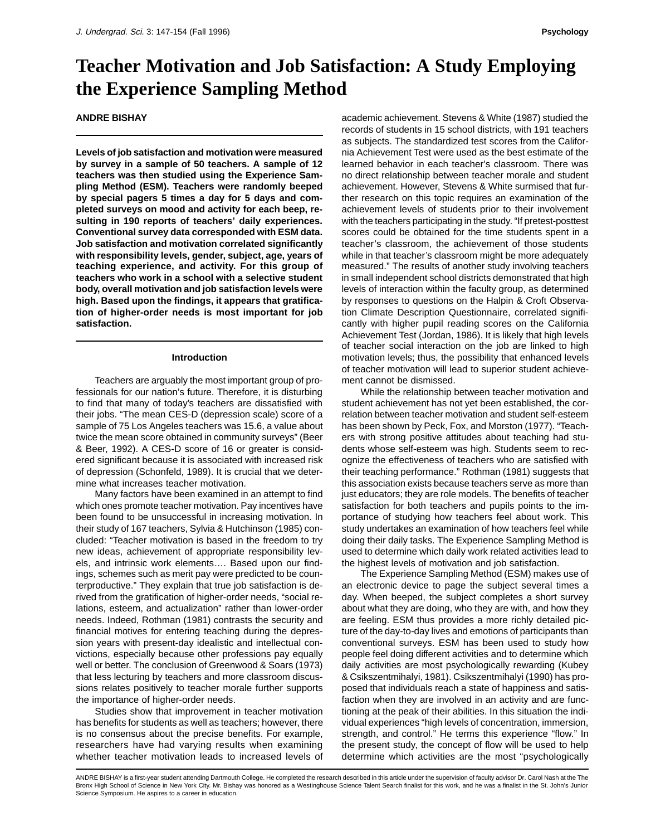# **Teacher Motivation and Job Satisfaction: A Study Employing the Experience Sampling Method**

# **ANDRE BISHAY**

**Levels of job satisfaction and motivation were measured by survey in a sample of 50 teachers. A sample of 12 teachers was then studied using the Experience Sampling Method (ESM). Teachers were randomly beeped by special pagers 5 times a day for 5 days and completed surveys on mood and activity for each beep, resulting in 190 reports of teachers' daily experiences. Conventional survey data corresponded with ESM data. Job satisfaction and motivation correlated significantly with responsibility levels, gender, subject, age, years of teaching experience, and activity. For this group of teachers who work in a school with a selective student body, overall motivation and job satisfaction levels were high. Based upon the findings, it appears that gratification of higher-order needs is most important for job satisfaction.**

#### **Introduction**

Teachers are arguably the most important group of professionals for our nation's future. Therefore, it is disturbing to find that many of today's teachers are dissatisfied with their jobs. "The mean CES-D (depression scale) score of a sample of 75 Los Angeles teachers was 15.6, a value about twice the mean score obtained in community surveys" (Beer & Beer, 1992). A CES-D score of 16 or greater is considered significant because it is associated with increased risk of depression (Schonfeld, 1989). It is crucial that we determine what increases teacher motivation.

Many factors have been examined in an attempt to find which ones promote teacher motivation. Pay incentives have been found to be unsuccessful in increasing motivation. In their study of 167 teachers, Sylvia & Hutchinson (1985) concluded: "Teacher motivation is based in the freedom to try new ideas, achievement of appropriate responsibility levels, and intrinsic work elements…. Based upon our findings, schemes such as merit pay were predicted to be counterproductive." They explain that true job satisfaction is derived from the gratification of higher-order needs, "social relations, esteem, and actualization" rather than lower-order needs. Indeed, Rothman (1981) contrasts the security and financial motives for entering teaching during the depression years with present-day idealistic and intellectual convictions, especially because other professions pay equally well or better. The conclusion of Greenwood & Soars (1973) that less lecturing by teachers and more classroom discussions relates positively to teacher morale further supports the importance of higher-order needs.

Studies show that improvement in teacher motivation has benefits for students as well as teachers; however, there is no consensus about the precise benefits. For example, researchers have had varying results when examining whether teacher motivation leads to increased levels of

academic achievement. Stevens & White (1987) studied the records of students in 15 school districts, with 191 teachers as subjects. The standardized test scores from the California Achievement Test were used as the best estimate of the learned behavior in each teacher's classroom. There was no direct relationship between teacher morale and student achievement. However, Stevens & White surmised that further research on this topic requires an examination of the achievement levels of students prior to their involvement with the teachers participating in the study. "If pretest-posttest scores could be obtained for the time students spent in a teacher's classroom, the achievement of those students while in that teacher's classroom might be more adequately measured." The results of another study involving teachers in small independent school districts demonstrated that high levels of interaction within the faculty group, as determined by responses to questions on the Halpin & Croft Observation Climate Description Questionnaire, correlated significantly with higher pupil reading scores on the California Achievement Test (Jordan, 1986). It is likely that high levels of teacher social interaction on the job are linked to high motivation levels; thus, the possibility that enhanced levels of teacher motivation will lead to superior student achievement cannot be dismissed.

While the relationship between teacher motivation and student achievement has not yet been established, the correlation between teacher motivation and student self-esteem has been shown by Peck, Fox, and Morston (1977). "Teachers with strong positive attitudes about teaching had students whose self-esteem was high. Students seem to recognize the effectiveness of teachers who are satisfied with their teaching performance." Rothman (1981) suggests that this association exists because teachers serve as more than just educators; they are role models. The benefits of teacher satisfaction for both teachers and pupils points to the importance of studying how teachers feel about work. This study undertakes an examination of how teachers feel while doing their daily tasks. The Experience Sampling Method is used to determine which daily work related activities lead to the highest levels of motivation and job satisfaction.

The Experience Sampling Method (ESM) makes use of an electronic device to page the subject several times a day. When beeped, the subject completes a short survey about what they are doing, who they are with, and how they are feeling. ESM thus provides a more richly detailed picture of the day-to-day lives and emotions of participants than conventional surveys. ESM has been used to study how people feel doing different activities and to determine which daily activities are most psychologically rewarding (Kubey & Csikszentmihalyi, 1981). Csikszentmihalyi (1990) has proposed that individuals reach a state of happiness and satisfaction when they are involved in an activity and are functioning at the peak of their abilities. In this situation the individual experiences "high levels of concentration, immersion, strength, and control." He terms this experience "flow." In the present study, the concept of flow will be used to help determine which activities are the most "psychologically

ANDRE BISHAY is a first-year student attending Dartmouth College. He completed the research described in this article under the supervision of faculty advisor Dr. Carol Nash at the The Bronx High School of Science in New York City. Mr. Bishay was honored as a Westinghouse Science Talent Search finalist for this work, and he was a finalist in the St. John's Junior Science Symposium. He aspires to a career in education.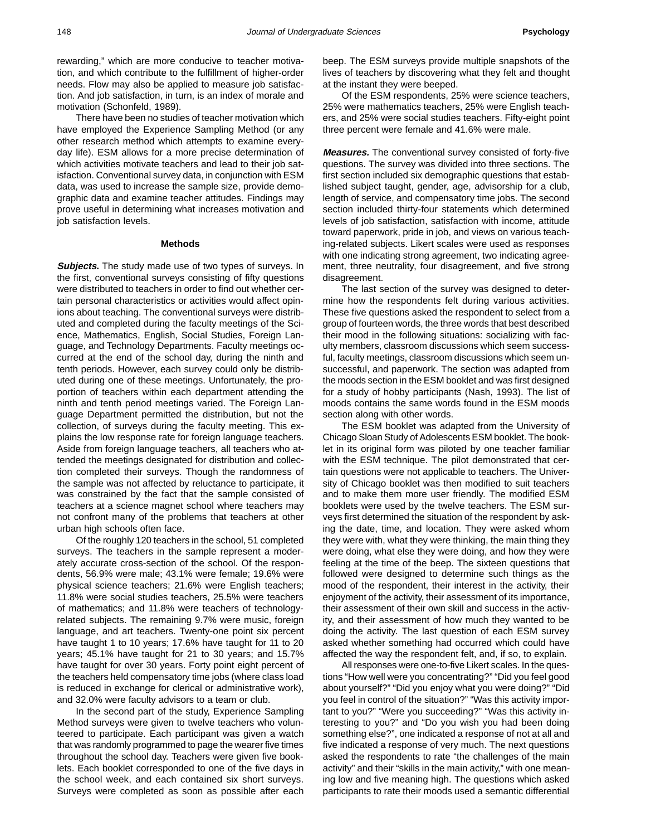rewarding," which are more conducive to teacher motivation, and which contribute to the fulfillment of higher-order needs. Flow may also be applied to measure job satisfaction. And job satisfaction, in turn, is an index of morale and motivation (Schonfeld, 1989).

There have been no studies of teacher motivation which have employed the Experience Sampling Method (or any other research method which attempts to examine everyday life). ESM allows for a more precise determination of which activities motivate teachers and lead to their job satisfaction. Conventional survey data, in conjunction with ESM data, was used to increase the sample size, provide demographic data and examine teacher attitudes. Findings may prove useful in determining what increases motivation and job satisfaction levels.

# **Methods**

**Subjects.** The study made use of two types of surveys. In the first, conventional surveys consisting of fifty questions were distributed to teachers in order to find out whether certain personal characteristics or activities would affect opinions about teaching. The conventional surveys were distributed and completed during the faculty meetings of the Science, Mathematics, English, Social Studies, Foreign Language, and Technology Departments. Faculty meetings occurred at the end of the school day, during the ninth and tenth periods. However, each survey could only be distributed during one of these meetings. Unfortunately, the proportion of teachers within each department attending the ninth and tenth period meetings varied. The Foreign Language Department permitted the distribution, but not the collection, of surveys during the faculty meeting. This explains the low response rate for foreign language teachers. Aside from foreign language teachers, all teachers who attended the meetings designated for distribution and collection completed their surveys. Though the randomness of the sample was not affected by reluctance to participate, it was constrained by the fact that the sample consisted of teachers at a science magnet school where teachers may not confront many of the problems that teachers at other urban high schools often face.

Of the roughly 120 teachers in the school, 51 completed surveys. The teachers in the sample represent a moderately accurate cross-section of the school. Of the respondents, 56.9% were male; 43.1% were female; 19.6% were physical science teachers; 21.6% were English teachers; 11.8% were social studies teachers, 25.5% were teachers of mathematics; and 11.8% were teachers of technologyrelated subjects. The remaining 9.7% were music, foreign language, and art teachers. Twenty-one point six percent have taught 1 to 10 years; 17.6% have taught for 11 to 20 years; 45.1% have taught for 21 to 30 years; and 15.7% have taught for over 30 years. Forty point eight percent of the teachers held compensatory time jobs (where class load is reduced in exchange for clerical or administrative work), and 32.0% were faculty advisors to a team or club.

In the second part of the study, Experience Sampling Method surveys were given to twelve teachers who volunteered to participate. Each participant was given a watch that was randomly programmed to page the wearer five times throughout the school day. Teachers were given five booklets. Each booklet corresponded to one of the five days in the school week, and each contained six short surveys. Surveys were completed as soon as possible after each

beep. The ESM surveys provide multiple snapshots of the lives of teachers by discovering what they felt and thought at the instant they were beeped.

Of the ESM respondents, 25% were science teachers, 25% were mathematics teachers, 25% were English teachers, and 25% were social studies teachers. Fifty-eight point three percent were female and 41.6% were male.

**Measures.** The conventional survey consisted of forty-five questions. The survey was divided into three sections. The first section included six demographic questions that established subject taught, gender, age, advisorship for a club, length of service, and compensatory time jobs. The second section included thirty-four statements which determined levels of job satisfaction, satisfaction with income, attitude toward paperwork, pride in job, and views on various teaching-related subjects. Likert scales were used as responses with one indicating strong agreement, two indicating agreement, three neutrality, four disagreement, and five strong disagreement.

The last section of the survey was designed to determine how the respondents felt during various activities. These five questions asked the respondent to select from a group of fourteen words, the three words that best described their mood in the following situations: socializing with faculty members, classroom discussions which seem successful, faculty meetings, classroom discussions which seem unsuccessful, and paperwork. The section was adapted from the moods section in the ESM booklet and was first designed for a study of hobby participants (Nash, 1993). The list of moods contains the same words found in the ESM moods section along with other words.

The ESM booklet was adapted from the University of Chicago Sloan Study of Adolescents ESM booklet. The booklet in its original form was piloted by one teacher familiar with the ESM technique. The pilot demonstrated that certain questions were not applicable to teachers. The University of Chicago booklet was then modified to suit teachers and to make them more user friendly. The modified ESM booklets were used by the twelve teachers. The ESM surveys first determined the situation of the respondent by asking the date, time, and location. They were asked whom they were with, what they were thinking, the main thing they were doing, what else they were doing, and how they were feeling at the time of the beep. The sixteen questions that followed were designed to determine such things as the mood of the respondent, their interest in the activity, their enjoyment of the activity, their assessment of its importance, their assessment of their own skill and success in the activity, and their assessment of how much they wanted to be doing the activity. The last question of each ESM survey asked whether something had occurred which could have affected the way the respondent felt, and, if so, to explain.

All responses were one-to-five Likert scales. In the questions "How well were you concentrating?" "Did you feel good about yourself?" "Did you enjoy what you were doing?" "Did you feel in control of the situation?" "Was this activity important to you?" "Were you succeeding?" "Was this activity interesting to you?" and "Do you wish you had been doing something else?", one indicated a response of not at all and five indicated a response of very much. The next questions asked the respondents to rate "the challenges of the main activity" and their "skills in the main activity," with one meaning low and five meaning high. The questions which asked participants to rate their moods used a semantic differential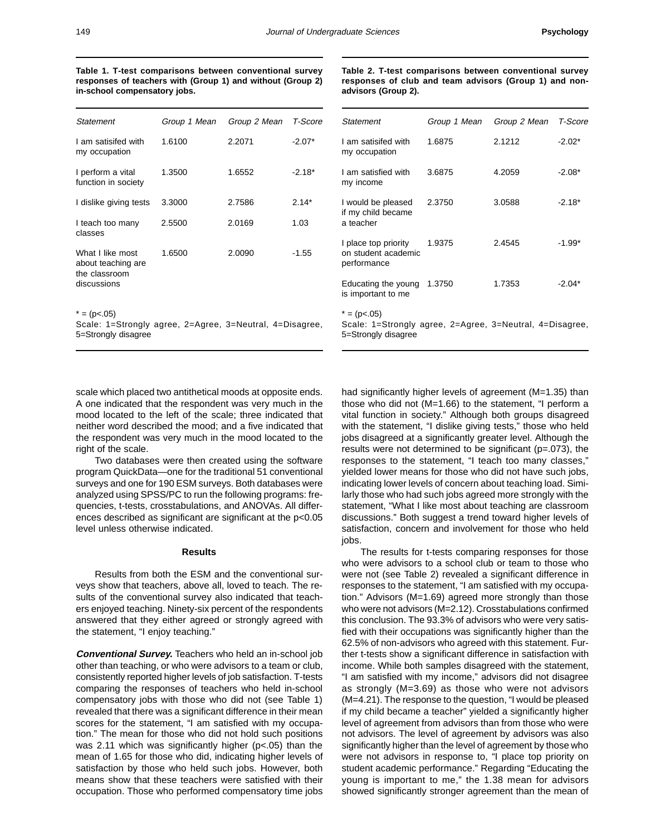**Table 1. T-test comparisons between conventional survey responses of teachers with (Group 1) and without (Group 2) in-school compensatory jobs.**

**Table 2. T-test comparisons between conventional survey responses of club and team advisors (Group 1) and nonadvisors (Group 2).**

| Statement                                | Group 1 Mean | Group 2 Mean | T-Score  | Stater                      |
|------------------------------------------|--------------|--------------|----------|-----------------------------|
| I am satisifed with<br>my occupation     | 1.6100       | 2.2071       | $-2.07*$ | l am s<br>my oc             |
| I perform a vital<br>function in society | 1.3500       | 1.6552       | $-2.18*$ | l am s<br>my in             |
| I dislike giving tests                   | 3.3000       | 2.7586       | $2.14*$  | I woul                      |
| I teach too many<br>classes              | 2.5500       | 2.0169       | 1.03     | if my<br>a tead             |
| What I like most<br>about teaching are   | 1.6500       | 2.0090       | $-1.55$  | I place<br>on stu<br>perfor |
| the classroom<br>discussions             |              |              |          | Educa<br>is imp             |
| $* = (p<.05)$                            |              |              |          | $= (p \cdot$                |

Scale: 1=Strongly agree, 2=Agree, 3=Neutral, 4=Disagree, 5=Strongly disagree

| Statement                                                                                         | Group 1 Mean | Group 2 Mean | T-Score  |  |  |  |
|---------------------------------------------------------------------------------------------------|--------------|--------------|----------|--|--|--|
| I am satisifed with<br>my occupation                                                              | 1.6875       | 2.1212       | $-2.02*$ |  |  |  |
| I am satisfied with<br>my income                                                                  | 3.6875       | 4.2059       | $-2.08*$ |  |  |  |
| I would be pleased<br>if my child became<br>a teacher                                             | 2.3750       | 3.0588       | $-2.18*$ |  |  |  |
| I place top priority<br>on student academic<br>performance                                        | 1.9375       | 2.4545       | $-1.99*$ |  |  |  |
| Educating the young<br>is important to me                                                         | 1.3750       | 1.7353       | $-2.04*$ |  |  |  |
| $* = (p<0.05)$<br>Scale: 1=Strongly agree, 2=Agree, 3=Neutral, 4=Disagree,<br>5=Strongly disagree |              |              |          |  |  |  |

scale which placed two antithetical moods at opposite ends. A one indicated that the respondent was very much in the mood located to the left of the scale; three indicated that neither word described the mood; and a five indicated that the respondent was very much in the mood located to the right of the scale.

Two databases were then created using the software program QuickData—one for the traditional 51 conventional surveys and one for 190 ESM surveys. Both databases were analyzed using SPSS/PC to run the following programs: frequencies, t-tests, crosstabulations, and ANOVAs. All differences described as significant are significant at the p<0.05 level unless otherwise indicated.

## **Results**

Results from both the ESM and the conventional surveys show that teachers, above all, loved to teach. The results of the conventional survey also indicated that teachers enjoyed teaching. Ninety-six percent of the respondents answered that they either agreed or strongly agreed with the statement, "I enjoy teaching."

**Conventional Survey.** Teachers who held an in-school job other than teaching, or who were advisors to a team or club, consistently reported higher levels of job satisfaction. T-tests comparing the responses of teachers who held in-school compensatory jobs with those who did not (see Table 1) revealed that there was a significant difference in their mean scores for the statement, "I am satisfied with my occupation." The mean for those who did not hold such positions was 2.11 which was significantly higher (p<.05) than the mean of 1.65 for those who did, indicating higher levels of satisfaction by those who held such jobs. However, both means show that these teachers were satisfied with their occupation. Those who performed compensatory time jobs

had significantly higher levels of agreement (M=1.35) than those who did not (M=1.66) to the statement, "I perform a vital function in society." Although both groups disagreed with the statement, "I dislike giving tests," those who held jobs disagreed at a significantly greater level. Although the results were not determined to be significant ( $p=.073$ ), the responses to the statement, "I teach too many classes," yielded lower means for those who did not have such jobs, indicating lower levels of concern about teaching load. Similarly those who had such jobs agreed more strongly with the statement, "What I like most about teaching are classroom discussions." Both suggest a trend toward higher levels of satisfaction, concern and involvement for those who held jobs.

The results for t-tests comparing responses for those who were advisors to a school club or team to those who were not (see Table 2) revealed a significant difference in responses to the statement, "I am satisfied with my occupation." Advisors (M=1.69) agreed more strongly than those who were not advisors (M=2.12). Crosstabulations confirmed this conclusion. The 93.3% of advisors who were very satisfied with their occupations was significantly higher than the 62.5% of non-advisors who agreed with this statement. Further t-tests show a significant difference in satisfaction with income. While both samples disagreed with the statement, "I am satisfied with my income," advisors did not disagree as strongly (M=3.69) as those who were not advisors (M=4.21). The response to the question, "I would be pleased if my child became a teacher" yielded a significantly higher level of agreement from advisors than from those who were not advisors. The level of agreement by advisors was also significantly higher than the level of agreement by those who were not advisors in response to, "I place top priority on student academic performance." Regarding "Educating the young is important to me," the 1.38 mean for advisors showed significantly stronger agreement than the mean of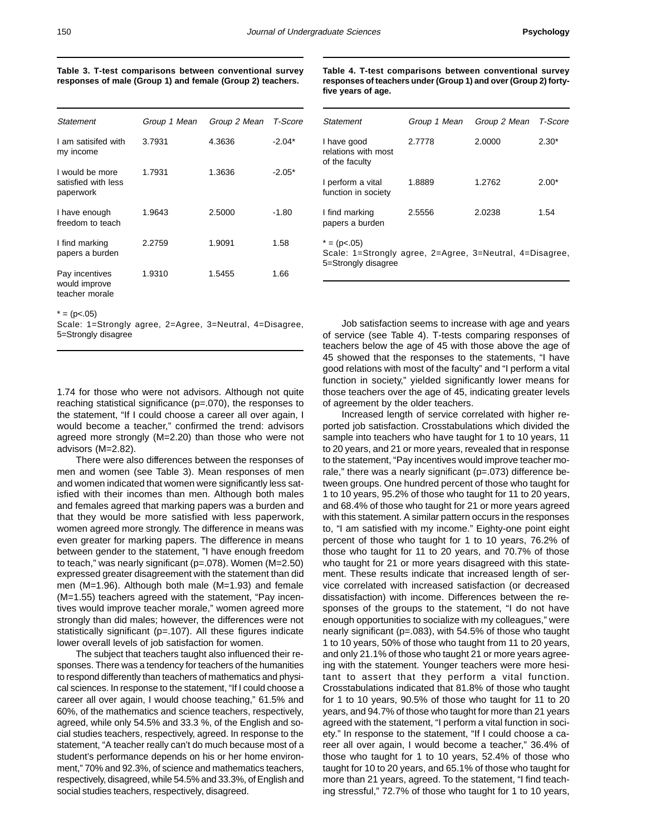| Table 3. T-test comparisons between conventional survey    |  |  |  |  |  |  |
|------------------------------------------------------------|--|--|--|--|--|--|
| responses of male (Group 1) and female (Group 2) teachers. |  |  |  |  |  |  |

| Statement                                           | Group 1 Mean | Group 2 Mean | T-Score  |
|-----------------------------------------------------|--------------|--------------|----------|
| I am satisifed with<br>my income                    | 3.7931       | 4.3636       | $-2.04*$ |
| I would be more<br>satisfied with less<br>paperwork | 1.7931       | 1.3636       | $-2.05*$ |
| I have enough<br>freedom to teach                   | 1.9643       | 2.5000       | $-1.80$  |
| I find marking<br>papers a burden                   | 2.2759       | 1.9091       | 1.58     |
| Pay incentives<br>would improve<br>teacher morale   | 1.9310       | 1.5455       | 1.66     |

 $* = (p<0.05)$ 

Scale: 1=Strongly agree, 2=Agree, 3=Neutral, 4=Disagree, 5=Strongly disagree

1.74 for those who were not advisors. Although not quite reaching statistical significance (p=.070), the responses to the statement, "If I could choose a career all over again, I would become a teacher," confirmed the trend: advisors agreed more strongly (M=2.20) than those who were not advisors (M=2.82).

There were also differences between the responses of men and women (see Table 3). Mean responses of men and women indicated that women were significantly less satisfied with their incomes than men. Although both males and females agreed that marking papers was a burden and that they would be more satisfied with less paperwork, women agreed more strongly. The difference in means was even greater for marking papers. The difference in means between gender to the statement, "I have enough freedom to teach," was nearly significant (p=.078). Women (M=2.50) expressed greater disagreement with the statement than did men (M=1.96). Although both male (M=1.93) and female (M=1.55) teachers agreed with the statement, "Pay incentives would improve teacher morale," women agreed more strongly than did males; however, the differences were not statistically significant (p=.107). All these figures indicate lower overall levels of job satisfaction for women.

The subject that teachers taught also influenced their responses. There was a tendency for teachers of the humanities to respond differently than teachers of mathematics and physical sciences. In response to the statement, "If I could choose a career all over again, I would choose teaching," 61.5% and 60%, of the mathematics and science teachers, respectively, agreed, while only 54.5% and 33.3 %, of the English and social studies teachers, respectively, agreed. In response to the statement, "A teacher really can't do much because most of a student's performance depends on his or her home environment," 70% and 92.3%, of science and mathematics teachers, respectively, disagreed, while 54.5% and 33.3%, of English and social studies teachers, respectively, disagreed.

|                    | Table 4. T-test comparisons between conventional survey         |
|--------------------|-----------------------------------------------------------------|
|                    | responses of teachers under (Group 1) and over (Group 2) forty- |
| five years of age. |                                                                 |

| Statement                                                                                         | Group 1 Mean | Group 2 Mean | T-Score |  |  |  |
|---------------------------------------------------------------------------------------------------|--------------|--------------|---------|--|--|--|
| I have good<br>relations with most<br>of the faculty                                              | 2.7778       | 2.0000       | $2.30*$ |  |  |  |
| I perform a vital<br>function in society                                                          | 1.8889       | 1.2762       | $2.00*$ |  |  |  |
| I find marking<br>papers a burden                                                                 | 2.5556       | 2.0238       | 1.54    |  |  |  |
| $* = (p<0.05)$<br>Scale: 1=Strongly agree, 2=Agree, 3=Neutral, 4=Disagree,<br>5=Strongly disagree |              |              |         |  |  |  |

Job satisfaction seems to increase with age and years of service (see Table 4). T-tests comparing responses of teachers below the age of 45 with those above the age of 45 showed that the responses to the statements, "I have good relations with most of the faculty" and "I perform a vital function in society," yielded significantly lower means for those teachers over the age of 45, indicating greater levels of agreement by the older teachers.

Increased length of service correlated with higher reported job satisfaction. Crosstabulations which divided the sample into teachers who have taught for 1 to 10 years, 11 to 20 years, and 21 or more years, revealed that in response to the statement, "Pay incentives would improve teacher morale," there was a nearly significant (p=.073) difference between groups. One hundred percent of those who taught for 1 to 10 years, 95.2% of those who taught for 11 to 20 years, and 68.4% of those who taught for 21 or more years agreed with this statement. A similar pattern occurs in the responses to, "I am satisfied with my income." Eighty-one point eight percent of those who taught for 1 to 10 years, 76.2% of those who taught for 11 to 20 years, and 70.7% of those who taught for 21 or more years disagreed with this statement. These results indicate that increased length of service correlated with increased satisfaction (or decreased dissatisfaction) with income. Differences between the responses of the groups to the statement, "I do not have enough opportunities to socialize with my colleagues," were nearly significant (p=.083), with 54.5% of those who taught 1 to 10 years, 50% of those who taught from 11 to 20 years, and only 21.1% of those who taught 21 or more years agreeing with the statement. Younger teachers were more hesitant to assert that they perform a vital function. Crosstabulations indicated that 81.8% of those who taught for 1 to 10 years, 90.5% of those who taught for 11 to 20 years, and 94.7% of those who taught for more than 21 years agreed with the statement, "I perform a vital function in society." In response to the statement, "If I could choose a career all over again, I would become a teacher," 36.4% of those who taught for 1 to 10 years, 52.4% of those who taught for 10 to 20 years, and 65.1% of those who taught for more than 21 years, agreed. To the statement, "I find teaching stressful," 72.7% of those who taught for 1 to 10 years,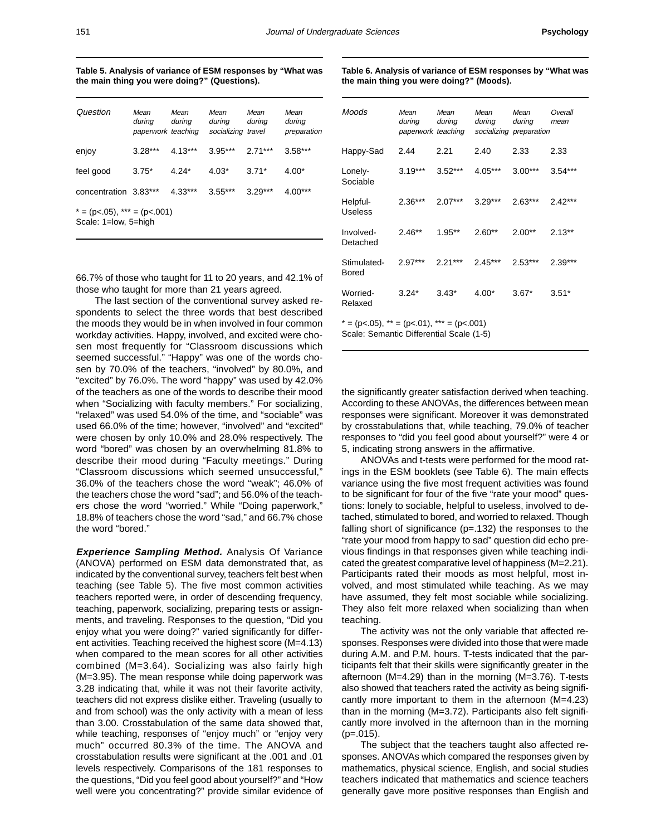**Detached** 

Bored

Relaxed

**Table 5. Analysis of variance of ESM responses by "What was the main thing you were doing?" (Questions).**

| Question                                                  | Mean<br>during<br>paperwork teaching | Mean<br>during | Mean<br>during<br>socializing travel | Mean<br>during | Mean<br>during<br>preparation |  |
|-----------------------------------------------------------|--------------------------------------|----------------|--------------------------------------|----------------|-------------------------------|--|
| enjoy                                                     | $3.28***$                            | $4.13***$      | $3.95***$                            | $2.71***$      | $3.58***$                     |  |
| feel good                                                 | $3.75*$                              | $4.24*$        | $4.03*$                              | $3.71*$        | $4.00*$                       |  |
| concentration 3.83***                                     |                                      | $4.33***$      | $3.55***$                            | $3.29***$      | $4.00***$                     |  |
| $* = (p<0.05)$ , $** = (p<0.001)$<br>Scale: 1=low, 5=high |                                      |                |                                      |                |                               |  |

66.7% of those who taught for 11 to 20 years, and 42.1% of those who taught for more than 21 years agreed.

The last section of the conventional survey asked respondents to select the three words that best described the moods they would be in when involved in four common workday activities. Happy, involved, and excited were chosen most frequently for "Classroom discussions which seemed successful." "Happy" was one of the words chosen by 70.0% of the teachers, "involved" by 80.0%, and "excited" by 76.0%. The word "happy" was used by 42.0% of the teachers as one of the words to describe their mood when "Socializing with faculty members." For socializing, "relaxed" was used 54.0% of the time, and "sociable" was used 66.0% of the time; however, "involved" and "excited" were chosen by only 10.0% and 28.0% respectively. The word "bored" was chosen by an overwhelming 81.8% to describe their mood during "Faculty meetings." During "Classroom discussions which seemed unsuccessful," 36.0% of the teachers chose the word "weak"; 46.0% of the teachers chose the word "sad"; and 56.0% of the teachers chose the word "worried." While "Doing paperwork," 18.8% of teachers chose the word "sad," and 66.7% chose the word "bored."

**Experience Sampling Method.** Analysis Of Variance (ANOVA) performed on ESM data demonstrated that, as indicated by the conventional survey, teachers felt best when teaching (see Table 5). The five most common activities teachers reported were, in order of descending frequency, teaching, paperwork, socializing, preparing tests or assignments, and traveling. Responses to the question, "Did you enjoy what you were doing?" varied significantly for different activities. Teaching received the highest score (M=4.13) when compared to the mean scores for all other activities combined (M=3.64). Socializing was also fairly high (M=3.95). The mean response while doing paperwork was 3.28 indicating that, while it was not their favorite activity, teachers did not express dislike either. Traveling (usually to and from school) was the only activity with a mean of less than 3.00. Crosstabulation of the same data showed that, while teaching, responses of "enjoy much" or "enjoy very much" occurred 80.3% of the time. The ANOVA and crosstabulation results were significant at the .001 and .01 levels respectively. Comparisons of the 181 responses to the questions, "Did you feel good about yourself?" and "How well were you concentrating?" provide similar evidence of

| Moods               | Mean<br>during<br>paperwork teaching | Mean<br>during | Mean<br>during | Mean<br>during<br>socializing preparation | Overall<br>mean |
|---------------------|--------------------------------------|----------------|----------------|-------------------------------------------|-----------------|
| Happy-Sad           | 2.44                                 | 2.21           | 2.40           | 2.33                                      | 2.33            |
| Lonely-<br>Sociable | $3.19***$                            | $3.52***$      | $4.05***$      | $3.00***$                                 | $3.54***$       |
| Helpful-<br>Useless | $2.36***$                            | $2.07***$      | $3.29***$      | $2.63***$                                 | $2.42***$       |

**Table 6. Analysis of variance of ESM responses by "What was**

**the main thing you were doing?" (Moods).**

Involved- 2.46\*\* 1.95\*\* 2.60\*\* 2.00\*\* 2.13\*\*

Stimulated- 2.97\*\*\* 2.21\*\*\* 2.45\*\*\* 2.53\*\*\* 2.39\*\*\*

Worried- 3.24\* 3.43\* 4.00\* 3.67\* 3.51\*

 $* = (p<.05)$ ,  $** = (p<.01)$ ,  $** = (p<.001)$ 

Scale: Semantic Differential Scale (1-5) the significantly greater satisfaction derived when teaching.

According to these ANOVAs, the differences between mean responses were significant. Moreover it was demonstrated by crosstabulations that, while teaching, 79.0% of teacher responses to "did you feel good about yourself?" were 4 or 5, indicating strong answers in the affirmative. ANOVAs and t-tests were performed for the mood rat-

ings in the ESM booklets (see Table 6). The main effects variance using the five most frequent activities was found to be significant for four of the five "rate your mood" questions: lonely to sociable, helpful to useless, involved to detached, stimulated to bored, and worried to relaxed. Though falling short of significance (p=.132) the responses to the "rate your mood from happy to sad" question did echo previous findings in that responses given while teaching indicated the greatest comparative level of happiness (M=2.21). Participants rated their moods as most helpful, most involved, and most stimulated while teaching. As we may have assumed, they felt most sociable while socializing. They also felt more relaxed when socializing than when teaching.

The activity was not the only variable that affected responses. Responses were divided into those that were made during A.M. and P.M. hours. T-tests indicated that the participants felt that their skills were significantly greater in the afternoon (M=4.29) than in the morning (M=3.76). T-tests also showed that teachers rated the activity as being significantly more important to them in the afternoon (M=4.23) than in the morning (M=3.72). Participants also felt significantly more involved in the afternoon than in the morning  $(p=.015)$ .

The subject that the teachers taught also affected responses. ANOVAs which compared the responses given by mathematics, physical science, English, and social studies teachers indicated that mathematics and science teachers generally gave more positive responses than English and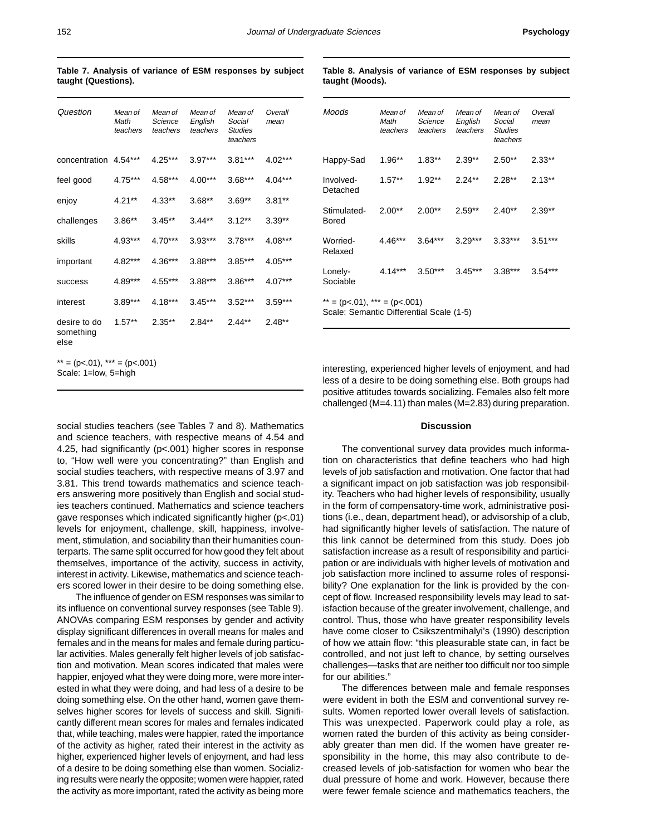| Question                          | Mean of<br>Math<br>teachers | Mean of<br>Science<br>teachers | Mean of<br>English<br>teachers | Mean of<br>Social<br><b>Studies</b><br>teachers | Overall<br>mean |
|-----------------------------------|-----------------------------|--------------------------------|--------------------------------|-------------------------------------------------|-----------------|
| concentration                     | $4.54***$                   | $4.25***$                      | $3.97***$                      | $3.81***$                                       | $4.02***$       |
| feel good                         | $4.75***$                   | 4.58***                        | 4.00***                        | $3.68***$                                       | $4.04***$       |
| enjoy                             | $4.21***$                   | $4.33**$                       | $3.68**$                       | $3.69**$                                        | $3.81**$        |
| challenges                        | $3.86**$                    | $3.45**$                       | $3.44***$                      | $3.12***$                                       | $3.39**$        |
| skills                            | 4.93***                     | $4.70***$                      | $3.93***$                      | $3.78***$                                       | 4.08***         |
| important                         | 4.82***                     | $4.36***$                      | 3.88***                        | $3.85***$                                       | 4.05***         |
| success                           | 4.89***                     | 4.55***                        | 3.88***                        | $3.86***$                                       | $4.07***$       |
| interest                          | $3.89***$                   | $4.18***$                      | $3.45***$                      | $3.52***$                                       | $3.59***$       |
| desire to do<br>something<br>else | $1.57**$                    | $2.35**$                       | $2.84**$                       | $2.44**$                                        | $2.48**$        |

 $** = (p<.01)$ ,  $*** = (p<.001)$ Scale: 1=low, 5=high

**Table 7. Analysis of variance of ESM responses by subject taught (Questions).**

**Table 8. Analysis of variance of ESM responses by subject taught (Moods).**

| Moods                                                                        | Mean of<br>Math<br>teachers | Mean of<br>Science<br>teachers | Mean of<br>English<br>teachers | Mean of<br>Social<br><b>Studies</b><br>teachers | Overall<br>mean |  |
|------------------------------------------------------------------------------|-----------------------------|--------------------------------|--------------------------------|-------------------------------------------------|-----------------|--|
| Happy-Sad                                                                    | $1.96**$                    | $1.83**$                       | $2.39**$                       | $2.50**$                                        | $2.33**$        |  |
| Involved-<br>Detached                                                        | $1.57**$                    | $1.92**$                       | $2.24**$                       | $2.28**$                                        | $2.13**$        |  |
| Stimulated-<br>Bored                                                         | $2.00**$                    | $2.00**$                       | $2.59**$                       | $2.40**$                                        | $2.39**$        |  |
| Worried-<br>Relaxed                                                          | $4.46***$                   | $3.64***$                      | $3.29***$                      | $3.33***$                                       | $3.51***$       |  |
| Lonely-<br>Sociable                                                          | $4.14***$                   | $3.50***$                      | $3.45***$                      | $3.38***$                                       | $3.54***$       |  |
| ** = (p < .01), *** = (p < .001)<br>Scale: Semantic Differential Scale (1-5) |                             |                                |                                |                                                 |                 |  |

interesting, experienced higher levels of enjoyment, and had less of a desire to be doing something else. Both groups had positive attitudes towards socializing. Females also felt more challenged (M=4.11) than males (M=2.83) during preparation.

### **Discussion**

The conventional survey data provides much information on characteristics that define teachers who had high levels of job satisfaction and motivation. One factor that had a significant impact on job satisfaction was job responsibility. Teachers who had higher levels of responsibility, usually in the form of compensatory-time work, administrative positions (i.e., dean, department head), or advisorship of a club, had significantly higher levels of satisfaction. The nature of this link cannot be determined from this study. Does job satisfaction increase as a result of responsibility and participation or are individuals with higher levels of motivation and job satisfaction more inclined to assume roles of responsibility? One explanation for the link is provided by the concept of flow. Increased responsibility levels may lead to satisfaction because of the greater involvement, challenge, and control. Thus, those who have greater responsibility levels have come closer to Csikszentmihalyi's (1990) description of how we attain flow: "this pleasurable state can, in fact be controlled, and not just left to chance, by setting ourselves challenges—tasks that are neither too difficult nor too simple for our abilities."

The differences between male and female responses were evident in both the ESM and conventional survey results. Women reported lower overall levels of satisfaction. This was unexpected. Paperwork could play a role, as women rated the burden of this activity as being considerably greater than men did. If the women have greater responsibility in the home, this may also contribute to decreased levels of job-satisfaction for women who bear the dual pressure of home and work. However, because there were fewer female science and mathematics teachers, the

social studies teachers (see Tables 7 and 8). Mathematics and science teachers, with respective means of 4.54 and 4.25, had significantly (p<.001) higher scores in response to, "How well were you concentrating?" than English and social studies teachers, with respective means of 3.97 and 3.81. This trend towards mathematics and science teachers answering more positively than English and social studies teachers continued. Mathematics and science teachers gave responses which indicated significantly higher (p<.01) levels for enjoyment, challenge, skill, happiness, involvement, stimulation, and sociability than their humanities counterparts. The same split occurred for how good they felt about themselves, importance of the activity, success in activity, interest in activity. Likewise, mathematics and science teachers scored lower in their desire to be doing something else.

The influence of gender on ESM responses was similar to its influence on conventional survey responses (see Table 9). ANOVAs comparing ESM responses by gender and activity display significant differences in overall means for males and females and in the means for males and female during particular activities. Males generally felt higher levels of job satisfaction and motivation. Mean scores indicated that males were happier, enjoyed what they were doing more, were more interested in what they were doing, and had less of a desire to be doing something else. On the other hand, women gave themselves higher scores for levels of success and skill. Significantly different mean scores for males and females indicated that, while teaching, males were happier, rated the importance of the activity as higher, rated their interest in the activity as higher, experienced higher levels of enjoyment, and had less of a desire to be doing something else than women. Socializing results were nearly the opposite; women were happier, rated the activity as more important, rated the activity as being more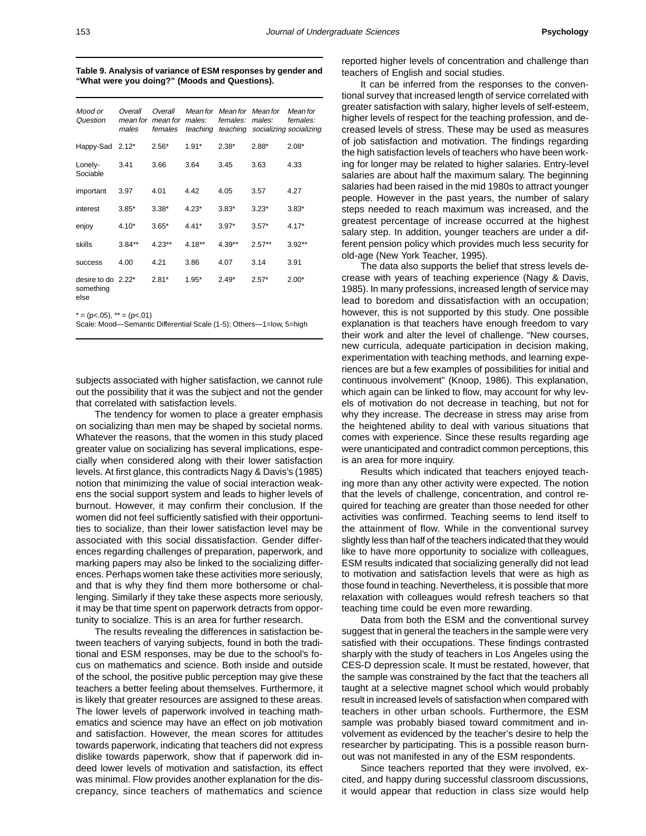| Table 9. Analysis of variance of ESM responses by gender and |  |
|--------------------------------------------------------------|--|
| "What were you doing?" (Moods and Questions).                |  |

| Mood or<br>Question                                 | Overall<br>mean for<br>males | Overall<br>mean for<br>females | males:   | Mean for Mean for Mean for<br>females: | males:<br>teaching teaching socializing socializing | Mean for<br>females: |
|-----------------------------------------------------|------------------------------|--------------------------------|----------|----------------------------------------|-----------------------------------------------------|----------------------|
| Happy-Sad 2.12*                                     |                              | $2.56*$                        | $1.91*$  | $2.38*$                                | $2.88*$                                             | $2.08*$              |
| Lonely-<br>Sociable                                 | 3.41                         | 3.66                           | 3.64     | 3.45                                   | 3.63                                                | 4.33                 |
| important                                           | 3.97                         | 4.01                           | 4.42     | 4.05                                   | 3.57                                                | 4.27                 |
| interest                                            | $3.85*$                      | $3.38*$                        | $4.23*$  | $3.83*$                                | $3.23*$                                             | $3.83*$              |
| enjoy                                               | $4.10*$                      | $3.65*$                        | $4.41*$  | $3.97*$                                | $3.57*$                                             | $4.17*$              |
| skills                                              | $3.84***$                    | $4.23**$                       | $4.18**$ | $4.39**$                               | $2.57**$                                            | $3.92**$             |
| <b>SUCCESS</b>                                      | 4.00                         | 4.21                           | 3.86     | 4.07                                   | 3.14                                                | 3.91                 |
| desire to do 2.22 <sup>*</sup><br>something<br>else |                              | $2.81*$                        | $1.95*$  | $2.49*$                                | $2.57*$                                             | $2.00*$              |

 $* = (p<.05)$ ,  $** = (p<.01)$ 

Scale: Mood—Semantic Differential Scale (1-5); Others—1=low, 5=high

subjects associated with higher satisfaction, we cannot rule out the possibility that it was the subject and not the gender that correlated with satisfaction levels.

The tendency for women to place a greater emphasis on socializing than men may be shaped by societal norms. Whatever the reasons, that the women in this study placed greater value on socializing has several implications, especially when considered along with their lower satisfaction levels. At first glance, this contradicts Nagy & Davis's (1985) notion that minimizing the value of social interaction weakens the social support system and leads to higher levels of burnout. However, it may confirm their conclusion. If the women did not feel sufficiently satisfied with their opportunities to socialize, than their lower satisfaction level may be associated with this social dissatisfaction. Gender differences regarding challenges of preparation, paperwork, and marking papers may also be linked to the socializing differences. Perhaps women take these activities more seriously, and that is why they find them more bothersome or challenging. Similarly if they take these aspects more seriously, it may be that time spent on paperwork detracts from opportunity to socialize. This is an area for further research.

The results revealing the differences in satisfaction between teachers of varying subjects, found in both the traditional and ESM responses, may be due to the school's focus on mathematics and science. Both inside and outside of the school, the positive public perception may give these teachers a better feeling about themselves. Furthermore, it is likely that greater resources are assigned to these areas. The lower levels of paperwork involved in teaching mathematics and science may have an effect on job motivation and satisfaction. However, the mean scores for attitudes towards paperwork, indicating that teachers did not express dislike towards paperwork, show that if paperwork did indeed lower levels of motivation and satisfaction, its effect was minimal. Flow provides another explanation for the discrepancy, since teachers of mathematics and science

reported higher levels of concentration and challenge than teachers of English and social studies.

It can be inferred from the responses to the conventional survey that increased length of service correlated with greater satisfaction with salary, higher levels of self-esteem, higher levels of respect for the teaching profession, and decreased levels of stress. These may be used as measures of job satisfaction and motivation. The findings regarding the high satisfaction levels of teachers who have been working for longer may be related to higher salaries. Entry-level salaries are about half the maximum salary. The beginning salaries had been raised in the mid 1980s to attract younger people. However in the past years, the number of salary steps needed to reach maximum was increased, and the greatest percentage of increase occurred at the highest salary step. In addition, younger teachers are under a different pension policy which provides much less security for old-age (New York Teacher, 1995).

The data also supports the belief that stress levels decrease with years of teaching experience (Nagy & Davis, 1985). In many professions, increased length of service may lead to boredom and dissatisfaction with an occupation; however, this is not supported by this study. One possible explanation is that teachers have enough freedom to vary their work and alter the level of challenge. "New courses, new curricula, adequate participation in decision making, experimentation with teaching methods, and learning experiences are but a few examples of possibilities for initial and continuous involvement" (Knoop, 1986). This explanation, which again can be linked to flow, may account for why levels of motivation do not decrease in teaching, but not for why they increase. The decrease in stress may arise from the heightened ability to deal with various situations that comes with experience. Since these results regarding age were unanticipated and contradict common perceptions, this is an area for more inquiry.

Results which indicated that teachers enjoyed teaching more than any other activity were expected. The notion that the levels of challenge, concentration, and control required for teaching are greater than those needed for other activities was confirmed. Teaching seems to lend itself to the attainment of flow. While in the conventional survey slightly less than half of the teachers indicated that they would like to have more opportunity to socialize with colleagues, ESM results indicated that socializing generally did not lead to motivation and satisfaction levels that were as high as those found in teaching. Nevertheless, it is possible that more relaxation with colleagues would refresh teachers so that teaching time could be even more rewarding.

Data from both the ESM and the conventional survey suggest that in general the teachers in the sample were very satisfied with their occupations. These findings contrasted sharply with the study of teachers in Los Angeles using the CES-D depression scale. It must be restated, however, that the sample was constrained by the fact that the teachers all taught at a selective magnet school which would probably result in increased levels of satisfaction when compared with teachers in other urban schools. Furthermore, the ESM sample was probably biased toward commitment and involvement as evidenced by the teacher's desire to help the researcher by participating. This is a possible reason burnout was not manifested in any of the ESM respondents.

Since teachers reported that they were involved, excited, and happy during successful classroom discussions, it would appear that reduction in class size would help